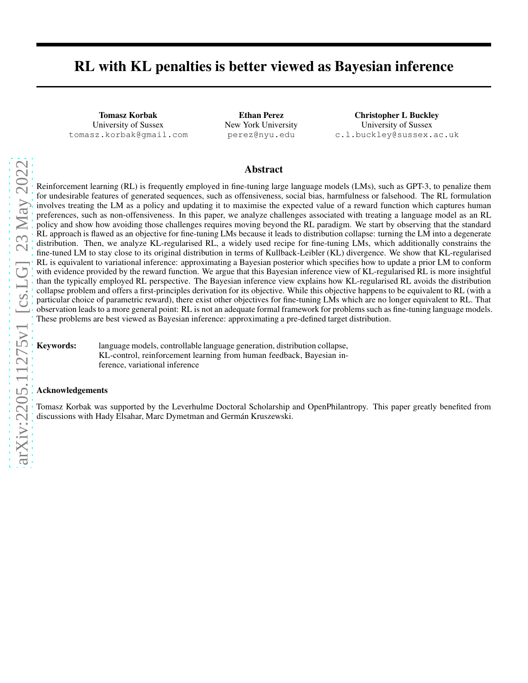# RL with KL penalties is better viewed as Bayesian inference

Tomasz Korbak University of Sussex tomasz.korbak@gmail.com

Ethan Perez New York University perez@nyu.edu

Christopher L Buckley University of Sussex c.l.buckley@sussex.ac.uk

#### Abstract

Reinforcement learning (RL) is frequently employed in fine-tuning large language models (LMs), such as GPT-3, to penalize them for undesirable features of generated sequences, such as offensiveness, social bias, harmfulness or falsehood. The RL formulation involves treating the LM as a policy and updating it to maximise the expected value of a reward function which captures human preferences, such as non-offensiveness. In this paper, we analyze challenges associated with treating a language model as an RL policy and show how avoiding those challenges requires moving beyond the RL paradigm. We start by observing that the standard RL approach is flawed as an objective for fine-tuning LMs because it leads to distribution collapse: turning the LM into a degenerate distribution. Then, we analyze KL-regularised RL, a widely used recipe for fine-tuning LMs, which additionally constrains the fine-tuned LM to stay close to its original distribution in terms of Kullback-Leibler (KL) divergence. We show that KL-regularised RL is equivalent to variational inference: approximating a Bayesian posterior which specifies how to update a prior LM to conform with evidence provided by the reward function. We argue that this Bayesian inference view of KL-regularised RL is more insightful than the typically employed RL perspective. The Bayesian inference view explains how KL-regularised RL avoids the distribution collapse problem and offers a first-principles derivation for its objective. While this objective happens to be equivalent to RL (with a particular choice of parametric reward), there exist other objectives for fine-tuning LMs which are no longer equivalent to RL. That observation leads to a more general point: RL is not an adequate formal framework for problems such as fine-tuning language models. These problems are best viewed as Bayesian inference: approximating a pre-defined target distribution.

Keywords: language models, controllable language generation, distribution collapse, KL-control, reinforcement learning from human feedback, Bayesian inference, variational inference

#### Acknowledgements

Tomasz Korbak was supported by the Leverhulme Doctoral Scholarship and OpenPhilantropy. This paper greatly benefited from discussions with Hady Elsahar, Marc Dymetman and Germán Kruszewski.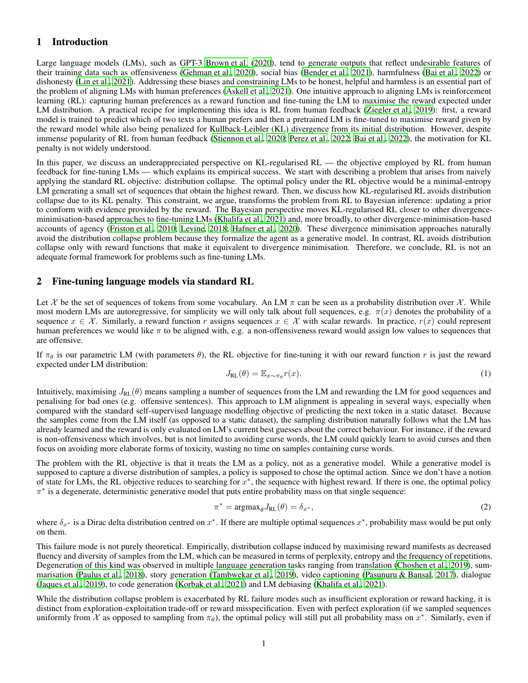## 1 Introduction

Large language models (LMs), such as GPT-3 [Brown et al.](#page-3-0) [\(2020\)](#page-3-0), tend to generate outputs that reflect undesirable features of their training data such as offensiveness [\(Gehman et al., 2020\)](#page-4-0), social bias [\(Bender et al., 2021\)](#page-3-1), harmfulness [\(Bai et al., 2022\)](#page-3-2) or dishonesty [\(Lin et al., 2021\)](#page-4-1). Addressing these biases and constraining LMs to be honest, helpful and harmless is an essential part of the problem of aligning LMs with human preferences [\(Askell et al., 2021\)](#page-3-3). One intuitive approach to aligning LMs is reinforcement learning (RL): capturing human preferences as a reward function and fine-tuning the LM to maximise the reward expected under LM distribution. A practical recipe for implementing this idea is RL from human feedback [\(Ziegler et al., 2019\)](#page-4-2): first, a reward model is trained to predict which of two texts a human prefers and then a pretrained LM is fine-tuned to maximise reward given by the reward model while also being penalized for Kullback-Leibler (KL) divergence from its initial distribution. However, despite immense popularity of RL from human feedback (Stiennon et al., 2020; [Perez et al., 2022](#page-4-3); [Bai et al., 2022](#page-3-2)), the motivation for KL penalty is not widely understood.

In this paper, we discuss an underappreciated perspective on KL-regularised RL — the objective employed by RL from human feedback for fine-tuning LMs — which explains its empirical success. We start with describing a problem that arises from naively applying the standard RL objective: distribution collapse. The optimal policy under the RL objective would be a minimal-entropy LM generating a small set of sequences that obtain the highest reward. Then, we discuss how KL-regularised RL avoids distribution collapse due to its KL penalty. This constraint, we argue, transforms the problem from RL to Bayesian inference: updating a prior to conform with evidence provided by the reward. The Bayesian perspective moves KL-regularised RL closer to other divergenceminimisation-based approaches to fine-tuning LMs [\(Khalifa](#page-4-4) et al., [2021\)](#page-4-4) and, more broadly, to other divergence-minimisation-based accounts of agency [\(Friston et al., 2010;](#page-4-5) [Levine, 2018;](#page-4-6) [Hafner et al., 2020\)](#page-4-7). These divergence minimisation approaches naturally avoid the distribution collapse problem because they formalize the agent as a generative model. In contrast, RL avoids distribution collapse only with reward functions that make it equivalent to divergence minimisation. Therefore, we conclude, RL is not an adequate formal framework for problems such as fine-tuning LMs.

## 2 Fine-tuning language models via standard RL

Let X be the set of sequences of tokens from some vocabulary. An LM  $\pi$  can be seen as a probability distribution over X. While most modern LMs are autoregressive, for simplicity we will only talk about full sequences, e.g.  $\pi(x)$  denotes the probability of a sequence  $x \in \mathcal{X}$ . Similarly, a reward function r assigns sequences  $x \in \mathcal{X}$  with scalar rewards. In practice,  $r(x)$  could represent human preferences we would like  $\pi$  to be aligned with, e.g. a non-offensiveness reward would assign low values to sequences that are offensive.

If  $\pi_{\theta}$  is our parametric LM (with parameters  $\theta$ ), the RL objective for fine-tuning it with our reward function r is just the reward expected under LM distribution:

<span id="page-1-0"></span>
$$
J_{\text{RL}}(\theta) = \mathbb{E}_{x \sim \pi_{\theta}} r(x). \tag{1}
$$

Intuitively, maximising  $J_{RL}(\theta)$  means sampling a number of sequences from the LM and rewarding the LM for good sequences and penalising for bad ones (e.g. offensive sentences). This approach to LM alignment is appealing in several ways, especially when compared with the standard self-supervised language modelling objective of predicting the next token in a static dataset. Because the samples come from the LM itself (as opposed to a static dataset), the sampling distribution naturally follows what the LM has already learned and the reward is only evaluated on LM's current best guesses about the correct behaviour. For instance, if the reward is non-offensiveness which involves, but is not limited to avoiding curse words, the LM could quickly learn to avoid curses and then focus on avoiding more elaborate forms of toxicity, wasting no time on samples containing curse words.

The problem with the RL objective is that it treats the LM as a policy, not as a generative model. While a generative model is supposed to capture a diverse distribution of samples, a policy is supposed to chose the optimal action. Since we don't have a notion of state for LMs, the RL objective reduces to searching for  $x^*$ , the sequence with highest reward. If there is one, the optimal policy π ∗ is a degenerate, deterministic generative model that puts entire probability mass on that single sequence:

$$
\pi^* = \operatorname{argmax}_{\theta} J_{\mathrm{RL}}(\theta) = \delta_{x^*},\tag{2}
$$

where  $\delta_{x^*}$  is a Dirac delta distribution centred on  $x^*$ . If there are multiple optimal sequences  $x^*$ , probability mass would be put only on them.

This failure mode is not purely theoretical. Empirically, distribution collapse induced by maximising reward manifests as decreased fluency and diversity of samples from the LM, which can be measured in terms of perplexity, entropy and the frequency of repetitions. Degeneration of this kind was observed in multiple language generation tasks ranging from translation [\(Choshen et al.](#page-3-4), [2019\)](#page-3-4), summarisation [\(Paulus et al.](#page-4-8), [2018\)](#page-4-8), story generation [\(Tambwekar et al., 2019\)](#page-4-9), video captioning [\(Pasunuru & Bansal](#page-4-10), [2017\)](#page-4-10), dialogue [\(Jaques et al., 2019\)](#page-4-11), to code generation [\(Korbak et al., 2021\)](#page-4-12) and LM debiasing [\(Khalifa et al., 2021\)](#page-4-4).

While the distribution collapse problem is exacerbated by RL failure modes such as insufficient exploration or reward hacking, it is distinct from exploration-exploitation trade-off or reward misspecification. Even with perfect exploration (if we sampled sequences uniformly from X as opposed to sampling from  $\pi_{\theta}$ ), the optimal policy will still put all probability mass on  $x^*$ . Similarly, even if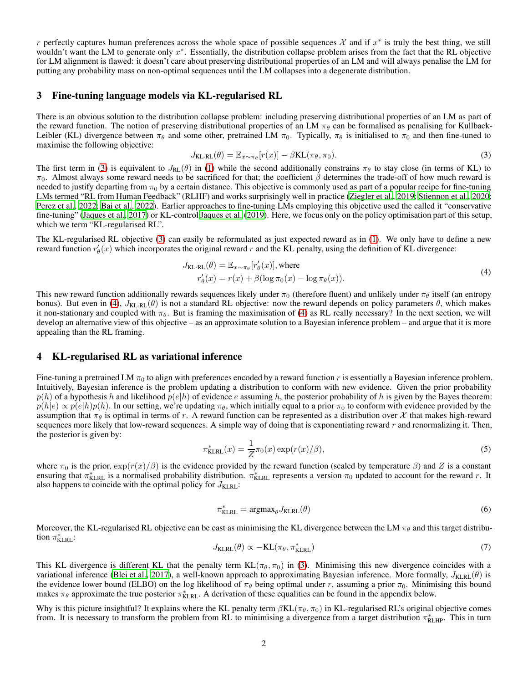r perfectly captures human preferences across the whole space of possible sequences  $\mathcal X$  and if  $x^*$  is truly the best thing, we still wouldn't want the LM to generate only  $x^*$ . Essentially, the distribution collapse problem arises from the fact that the RL objective for LM alignment is flawed: it doesn't care about preserving distributional properties of an LM and will always penalise the LM for putting any probability mass on non-optimal sequences until the LM collapses into a degenerate distribution.

#### 3 Fine-tuning language models via KL-regularised RL

There is an obvious solution to the distribution collapse problem: including preserving distributional properties of an LM as part of the reward function. The notion of preserving distributional properties of an LM  $\pi_{\theta}$  can be formalised as penalising for Kullback-Leibler (KL) divergence between  $\pi_{\theta}$  and some other, pretrained LM  $\pi_{0}$ . Typically,  $\pi_{\theta}$  is initialised to  $\pi_{0}$  and then fine-tuned to maximise the following objective:

<span id="page-2-0"></span>
$$
J_{\text{KL-RL}}(\theta) = \mathbb{E}_{x \sim \pi_{\theta}}[r(x)] - \beta \text{KL}(\pi_{\theta}, \pi_0). \tag{3}
$$

The first term in [\(3\)](#page-2-0) is equivalent to  $J_{RL}(\theta)$  in [\(1\)](#page-1-0) while the second additionally constrains  $\pi_{\theta}$  to stay close (in terms of KL) to  $π<sub>0</sub>$ . Almost always some reward needs to be sacrificed for that; the coefficient  $β$  determines the trade-off of how much reward is needed to justify departing from  $\pi_0$  by a certain distance. This objective is commonly used as part of a popular recipe for fine-tuning LMs termed "RL from Human Feedback" (RLHF) and works surprisingly well in practice [\(Ziegler et al., 2019;](#page-4-2) Stiennon et al., 2020; [Perez et al., 2022;](#page-4-3) [Bai et al., 2022\)](#page-3-2). Earlier approaches to fine-tuning LMs employing this objective used the called it "conservative fine-tuning" [\(Jaques et al., 2017](#page-4-13)) or KL-control [Jaques et al. \(2019](#page-4-11)). Here, we focus only on the policy optimisation part of this setup, which we term "KL-regularised RL".

The KL-regularised RL objective [\(3\)](#page-2-0) can easily be reformulated as just expected reward as in [\(1\)](#page-1-0). We only have to define a new reward function  $r'_{\theta}(x)$  which incorporates the original reward r and the KL penalty, using the definition of KL divergence:

<span id="page-2-1"></span>
$$
J_{\text{KL-RL}}(\theta) = \mathbb{E}_{x \sim \pi_{\theta}}[r_{\theta}'(x)], \text{where}
$$
  

$$
r_{\theta}'(x) = r(x) + \beta(\log \pi_0(x) - \log \pi_{\theta}(x)).
$$
 (4)

This new reward function additionally rewards sequences likely under  $\pi_0$  (therefore fluent) and unlikely under  $\pi_\theta$  itself (an entropy bonus). But even in [\(4\)](#page-2-1),  $J_{\text{KL-RL}}(\theta)$  is not a standard RL objective: now the reward depends on policy parameters  $\theta$ , which makes it non-stationary and coupled with  $\pi_{\theta}$ . But is framing the maximisation of [\(4\)](#page-2-1) as RL really necessary? In the next section, we will develop an alternative view of this objective – as an approximate solution to a Bayesian inference problem – and argue that it is more appealing than the RL framing.

#### 4 KL-regularised RL as variational inference

Fine-tuning a pretrained LM  $\pi_0$  to align with preferences encoded by a reward function r is essentially a Bayesian inference problem. Intuitively, Bayesian inference is the problem updating a distribution to conform with new evidence. Given the prior probability  $p(h)$  of a hypothesis h and likelihood  $p(e|h)$  of evidence e assuming h, the posterior probability of h is given by the Bayes theorem:  $p(h|e) \propto p(e|h)p(h)$ . In our setting, we're updating  $\pi_{\theta}$ , which initially equal to a prior  $\pi_0$  to conform with evidence provided by the assumption that  $\pi_\theta$  is optimal in terms of r. A reward function can be represented as a distribution over X that makes high-reward sequences more likely that low-reward sequences. A simple way of doing that is exponentiating reward  $r$  and renormalizing it. Then, the posterior is given by:

$$
\pi_{\text{KLRL}}^*(x) = \frac{1}{Z} \pi_0(x) \exp(r(x)/\beta),\tag{5}
$$

where  $\pi_0$  is the prior,  $\exp(r(x)/\beta)$  is the evidence provided by the reward function (scaled by temperature  $\beta$ ) and Z is a constant ensuring that  $\pi_{\text{KLRL}}^*$  is a normalised probability distribution.  $\pi_{\text{KLRL}}^*$  represents a version  $\pi_0$  updated to account for the reward r. It also happens to coincide with the optimal policy for  $J_{\text{KLRL}}$ :

$$
\pi_{\text{KLRL}}^* = \text{argmax}_{\theta} J_{\text{KLRL}}(\theta) \tag{6}
$$

Moreover, the KL-regularised RL objective can be cast as minimising the KL divergence between the LM  $\pi_{\theta}$  and this target distribution  $\pi_{\text{KLRL}}^*$ :

$$
J_{\text{KLRL}}(\theta) \propto -\text{KL}(\pi_{\theta}, \pi_{\text{KLRL}}^*)
$$
\n<sup>(7)</sup>

This KL divergence is different KL that the penalty term  $KL(\pi_\theta, \pi_0)$  in [\(3\)](#page-2-0). Minimising this new divergence coincides with a variational inference [\(Blei et al., 2017\)](#page-3-5), a well-known approach to approximating Bayesian inference. More formally,  $J_{\text{KLRL}}(\theta)$  is the evidence lower bound (ELBO) on the log likelihood of  $\pi_\theta$  being optimal under r, assuming a prior  $\pi_0$ . Minimising this bound makes  $\pi_\theta$  approximate the true posterior  $\pi_{\text{KLRL}}^*$ . A derivation of these equalities can be found in the appendix below.

Why is this picture insightful? It explains where the KL penalty term  $\beta KL(\pi_{\theta}, \pi_0)$  in KL-regularised RL's original objective comes from. It is necessary to transform the problem from RL to minimising a divergence from a target distribution  $\pi^*_{RLHP}$ . This in turn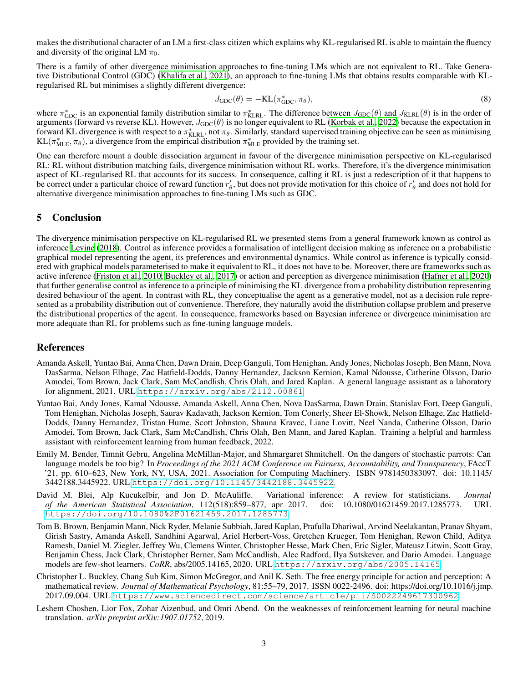makes the distributional character of an LM a first-class citizen which explains why KL-regularised RL is able to maintain the fluency and diversity of the original LM  $\pi_0$ .

There is a family of other divergence minimisation approaches to fine-tuning LMs which are not equivalent to RL. Take Generative Distributional Control (GDC) [\(Khalifa et al., 2021\)](#page-4-4), an approach to fine-tuning LMs that obtains results comparable with KLregularised RL but minimises a slightly different divergence:

$$
J_{\text{GDC}}(\theta) = -\text{KL}(\pi_{\text{GDC}}^*, \pi_\theta),\tag{8}
$$

where  $\pi_{GDC}^*$  is an exponential family distribution similar to  $\pi_{KLRL}^*$ . The difference between  $J_{GDC}(\theta)$  and  $J_{KLRL}(\theta)$  is in the order of arguments (forward vs reverse KL). However,  $J_{GDC}(\theta)$  is no longer equivalent to RL [\(Korbak et al., 2022\)](#page-4-14) because the expectation in forward KL divergence is with respect to a  $\pi_{\text{KLRL}}^*$ , not  $\pi_{\theta}$ . Similarly, standard supervised training objective can be seen as minimising  $KL(\pi^*_{MLE}, \pi_\theta)$ , a divergence from the empirical distribution  $\pi^*_{MLE}$  provided by the training set.

One can therefore mount a double dissociation argument in favour of the divergence minimisation perspective on KL-regularised RL: RL without distribution matching fails, divergence minimisation without RL works. Therefore, it's the divergence minimisation aspect of KL-regularised RL that accounts for its success. In consequence, calling it RL is just a redescription of it that happens to be correct under a particular choice of reward function  $r'_\theta$ , but does not provide motivation for this choice of  $r'_\theta$  and does not hold for alternative divergence minimisation approaches to fine-tuning LMs such as GDC.

### 5 Conclusion

The divergence minimisation perspective on KL-regularised RL we presented stems from a general framework known as control as inference [Levine](#page-4-6) [\(2018\)](#page-4-6). Control as inference provides a formalisation of intelligent decision making as inference on a probabilistic graphical model representing the agent, its preferences and environmental dynamics. While control as inference is typically considered with graphical models parameterised to make it equivalent to RL, it does not have to be. Moreover, there are frameworks such as active inference [\(Friston et al., 2010;](#page-4-5) [Buckley et al., 2017\)](#page-3-6) or action and perception as divergence minimisation [\(Hafner et al., 2020\)](#page-4-7) that further generalise control as inference to a principle of minimising the KL divergence from a probability distribution representing desired behaviour of the agent. In contrast with RL, they conceptualise the agent as a generative model, not as a decision rule represented as a probability distribution out of convenience. Therefore, they naturally avoid the distribution collapse problem and preserve the distributional properties of the agent. In consequence, frameworks based on Bayesian inference or divergence minimisation are more adequate than RL for problems such as fine-tuning language models.

#### References

- <span id="page-3-3"></span>Amanda Askell, Yuntao Bai, Anna Chen, Dawn Drain, Deep Ganguli, Tom Henighan, Andy Jones, Nicholas Joseph, Ben Mann, Nova DasSarma, Nelson Elhage, Zac Hatfield-Dodds, Danny Hernandez, Jackson Kernion, Kamal Ndousse, Catherine Olsson, Dario Amodei, Tom Brown, Jack Clark, Sam McCandlish, Chris Olah, and Jared Kaplan. A general language assistant as a laboratory for alignment, 2021. URL <https://arxiv.org/abs/2112.00861>.
- <span id="page-3-2"></span>Yuntao Bai, Andy Jones, Kamal Ndousse, Amanda Askell, Anna Chen, Nova DasSarma, Dawn Drain, Stanislav Fort, Deep Ganguli, Tom Henighan, Nicholas Joseph, Saurav Kadavath, Jackson Kernion, Tom Conerly, Sheer El-Showk, Nelson Elhage, Zac Hatfield-Dodds, Danny Hernandez, Tristan Hume, Scott Johnston, Shauna Kravec, Liane Lovitt, Neel Nanda, Catherine Olsson, Dario Amodei, Tom Brown, Jack Clark, Sam McCandlish, Chris Olah, Ben Mann, and Jared Kaplan. Training a helpful and harmless assistant with reinforcement learning from human feedback, 2022.
- <span id="page-3-1"></span>Emily M. Bender, Timnit Gebru, Angelina McMillan-Major, and Shmargaret Shmitchell. On the dangers of stochastic parrots: Can language models be too big? In *Proceedings of the 2021 ACM Conference on Fairness, Accountability, and Transparency*, FAccT '21, pp. 610–623, New York, NY, USA, 2021. Association for Computing Machinery. ISBN 9781450383097. doi: 10.1145/ 3442188.3445922. URL <https://doi.org/10.1145/3442188.3445922>.
- <span id="page-3-5"></span>David M. Blei, Alp Kucukelbir, and Jon D. McAuliffe. Variational inference: A review for statisticians. *Journal of the American Statistical Association*, 112(518):859–877, apr 2017. doi: 10.1080/01621459.2017.1285773. URL <https://doi.org/10.1080%2F01621459.2017.1285773>.
- <span id="page-3-0"></span>Tom B. Brown, Benjamin Mann, Nick Ryder, Melanie Subbiah, Jared Kaplan, Prafulla Dhariwal, Arvind Neelakantan, Pranav Shyam, Girish Sastry, Amanda Askell, Sandhini Agarwal, Ariel Herbert-Voss, Gretchen Krueger, Tom Henighan, Rewon Child, Aditya Ramesh, Daniel M. Ziegler, Jeffrey Wu, Clemens Winter, Christopher Hesse, Mark Chen, Eric Sigler, Mateusz Litwin, Scott Gray, Benjamin Chess, Jack Clark, Christopher Berner, Sam McCandlish, Alec Radford, Ilya Sutskever, and Dario Amodei. Language models are few-shot learners. *CoRR*, abs/2005.14165, 2020. URL <https://arxiv.org/abs/2005.14165>.
- <span id="page-3-6"></span>Christopher L. Buckley, Chang Sub Kim, Simon McGregor, and Anil K. Seth. The free energy principle for action and perception: A mathematical review. *Journal of Mathematical Psychology*, 81:55–79, 2017. ISSN 0022-2496. doi: https://doi.org/10.1016/j.jmp. 2017.09.004. URL <https://www.sciencedirect.com/science/article/pii/S0022249617300962>.
- <span id="page-3-4"></span>Leshem Choshen, Lior Fox, Zohar Aizenbud, and Omri Abend. On the weaknesses of reinforcement learning for neural machine translation. *arXiv preprint arXiv:1907.01752*, 2019.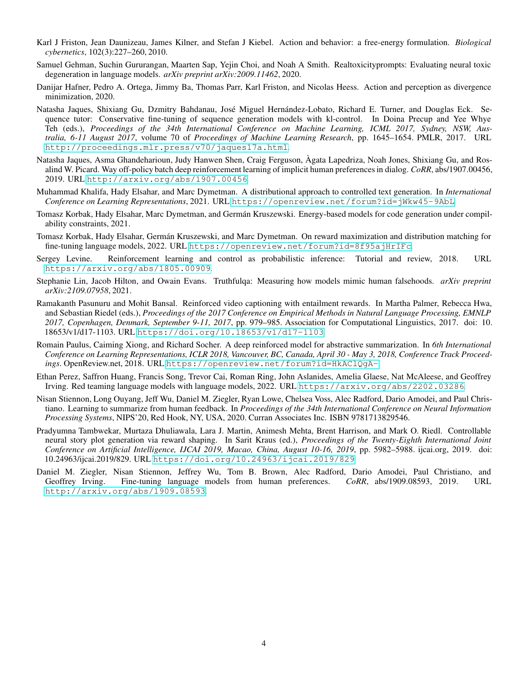- <span id="page-4-5"></span>Karl J Friston, Jean Daunizeau, James Kilner, and Stefan J Kiebel. Action and behavior: a free-energy formulation. *Biological cybernetics*, 102(3):227–260, 2010.
- <span id="page-4-0"></span>Samuel Gehman, Suchin Gururangan, Maarten Sap, Yejin Choi, and Noah A Smith. Realtoxicityprompts: Evaluating neural toxic degeneration in language models. *arXiv preprint arXiv:2009.11462*, 2020.
- <span id="page-4-7"></span>Danijar Hafner, Pedro A. Ortega, Jimmy Ba, Thomas Parr, Karl Friston, and Nicolas Heess. Action and perception as divergence minimization, 2020.
- <span id="page-4-13"></span>Natasha Jaques, Shixiang Gu, Dzmitry Bahdanau, José Miguel Hernández-Lobato, Richard E. Turner, and Douglas Eck. Sequence tutor: Conservative fine-tuning of sequence generation models with kl-control. In Doina Precup and Yee Whye Teh (eds.), *Proceedings of the 34th International Conference on Machine Learning, ICML 2017, Sydney, NSW, Australia, 6-11 August 2017*, volume 70 of *Proceedings of Machine Learning Research*, pp. 1645–1654. PMLR, 2017. URL <http://proceedings.mlr.press/v70/jaques17a.html>.
- <span id="page-4-11"></span>Natasha Jaques, Asma Ghandeharioun, Judy Hanwen Shen, Craig Ferguson, Àgata Lapedriza, Noah Jones, Shixiang Gu, and Rosalind W. Picard. Way off-policy batch deep reinforcement learning of implicit human preferences in dialog. *CoRR*, abs/1907.00456, 2019. URL <http://arxiv.org/abs/1907.00456>.
- <span id="page-4-4"></span>Muhammad Khalifa, Hady Elsahar, and Marc Dymetman. A distributional approach to controlled text generation. In *International Conference on Learning Representations*, 2021. URL <https://openreview.net/forum?id=jWkw45-9AbL>.
- <span id="page-4-12"></span>Tomasz Korbak, Hady Elsahar, Marc Dymetman, and Germán Kruszewski. Energy-based models for code generation under compilability constraints, 2021.
- <span id="page-4-14"></span>Tomasz Korbak, Hady Elsahar, Germán Kruszewski, and Marc Dymetman. On reward maximization and distribution matching for fine-tuning language models, 2022. URL <https://openreview.net/forum?id=8f95ajHrIFc>.
- <span id="page-4-6"></span>Sergey Levine. Reinforcement learning and control as probabilistic inference: Tutorial and review, 2018. URL <https://arxiv.org/abs/1805.00909>.
- <span id="page-4-1"></span>Stephanie Lin, Jacob Hilton, and Owain Evans. Truthfulqa: Measuring how models mimic human falsehoods. *arXiv preprint arXiv:2109.07958*, 2021.
- <span id="page-4-10"></span>Ramakanth Pasunuru and Mohit Bansal. Reinforced video captioning with entailment rewards. In Martha Palmer, Rebecca Hwa, and Sebastian Riedel (eds.), *Proceedings of the 2017 Conference on Empirical Methods in Natural Language Processing, EMNLP 2017, Copenhagen, Denmark, September 9-11, 2017*, pp. 979–985. Association for Computational Linguistics, 2017. doi: 10. 18653/v1/d17-1103. URL <https://doi.org/10.18653/v1/d17-1103>.
- <span id="page-4-8"></span>Romain Paulus, Caiming Xiong, and Richard Socher. A deep reinforced model for abstractive summarization. In *6th International Conference on Learning Representations, ICLR 2018, Vancouver, BC, Canada, April 30 - May 3, 2018, Conference Track Proceedings*. OpenReview.net, 2018. URL <https://openreview.net/forum?id=HkAClQgA->.
- <span id="page-4-3"></span>Ethan Perez, Saffron Huang, Francis Song, Trevor Cai, Roman Ring, John Aslanides, Amelia Glaese, Nat McAleese, and Geoffrey Irving. Red teaming language models with language models, 2022. URL <https://arxiv.org/abs/2202.03286>.
- Nisan Stiennon, Long Ouyang, Jeff Wu, Daniel M. Ziegler, Ryan Lowe, Chelsea Voss, Alec Radford, Dario Amodei, and Paul Christiano. Learning to summarize from human feedback. In *Proceedings of the 34th International Conference on Neural Information Processing Systems*, NIPS'20, Red Hook, NY, USA, 2020. Curran Associates Inc. ISBN 9781713829546.
- <span id="page-4-9"></span>Pradyumna Tambwekar, Murtaza Dhuliawala, Lara J. Martin, Animesh Mehta, Brent Harrison, and Mark O. Riedl. Controllable neural story plot generation via reward shaping. In Sarit Kraus (ed.), *Proceedings of the Twenty-Eighth International Joint Conference on Artificial Intelligence, IJCAI 2019, Macao, China, August 10-16, 2019*, pp. 5982–5988. ijcai.org, 2019. doi: 10.24963/ijcai.2019/829. URL <https://doi.org/10.24963/ijcai.2019/829>.
- <span id="page-4-2"></span>Daniel M. Ziegler, Nisan Stiennon, Jeffrey Wu, Tom B. Brown, Alec Radford, Dario Amodei, Paul Christiano, and Geoffrey Irving. Fine-tuning language models from human preferences. *CoRR*, abs/1909.08593, 2019. URL <http://arxiv.org/abs/1909.08593>.